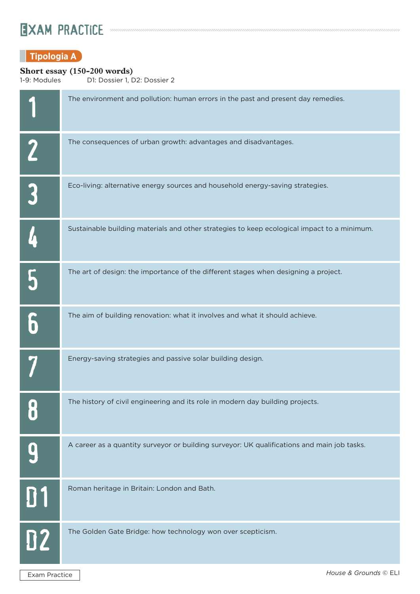# EXAM PRACTICE *Annoncommunication annoncommunication annoncommunication*

### **Tipologia A**

# **Short essay (150-200 words)**<br>1-9: Modules D1: Dossier 1, D

D1: Dossier 1, D2: Dossier 2

|           | The environment and pollution: human errors in the past and present day remedies.           |
|-----------|---------------------------------------------------------------------------------------------|
|           | The consequences of urban growth: advantages and disadvantages.                             |
|           | Eco-living: alternative energy sources and household energy-saving strategies.              |
|           | Sustainable building materials and other strategies to keep ecological impact to a minimum. |
|           | The art of design: the importance of the different stages when designing a project.         |
|           | The aim of building renovation: what it involves and what it should achieve.                |
|           | Energy-saving strategies and passive solar building design.                                 |
|           | The history of civil engineering and its role in modern day building projects.              |
|           | A career as a quantity surveyor or building surveyor: UK qualifications and main job tasks. |
| 01        | Roman heritage in Britain: London and Bath.                                                 |
| <b>D2</b> | The Golden Gate Bridge: how technology won over scepticism.                                 |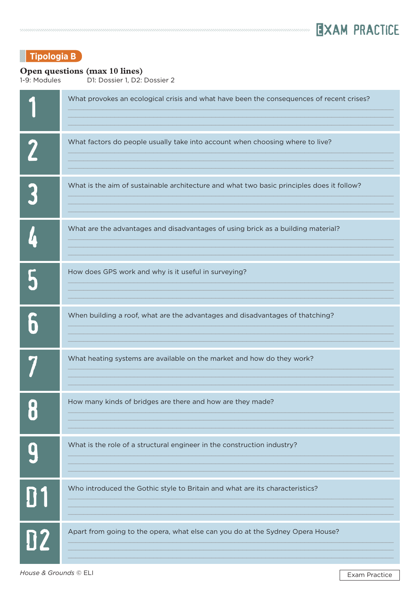

### **Tipologia B**

### Open questions (max 10 lines)

1-9: Modules D1: Dossier 1, D2: Dossier 2

|           | What provokes an ecological crisis and what have been the consequences of recent crises?  |
|-----------|-------------------------------------------------------------------------------------------|
|           | What factors do people usually take into account when choosing where to live?             |
|           | What is the aim of sustainable architecture and what two basic principles does it follow? |
|           | What are the advantages and disadvantages of using brick as a building material?          |
|           | How does GPS work and why is it useful in surveying?                                      |
|           | When building a roof, what are the advantages and disadvantages of thatching?             |
|           | What heating systems are available on the market and how do they work?                    |
|           | How many kinds of bridges are there and how are they made?                                |
|           | What is the role of a structural engineer in the construction industry?                   |
| <b>D1</b> | Who introduced the Gothic style to Britain and what are its characteristics?              |
| 02        | Apart from going to the opera, what else can you do at the Sydney Opera House?            |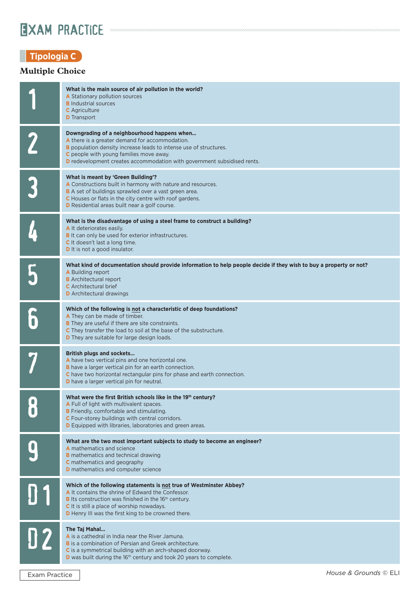## EXAM PRACTICE *Annonina manufattum manufattum manufattum manufattum manufattum*

### **Tipologia C**

### **Multiple Choice**

|   | What is the main source of air pollution in the world?<br>A Stationary pollution sources<br><b>B</b> Industrial sources<br><b>C</b> Agriculture<br><b>D</b> Transport                                                                                                                                           |
|---|-----------------------------------------------------------------------------------------------------------------------------------------------------------------------------------------------------------------------------------------------------------------------------------------------------------------|
|   | Downgrading of a neighbourhood happens when<br>A there is a greater demand for accommodation.<br><b>B</b> population density increase leads to intense use of structures.<br>C people with young families move away.<br><b>D</b> redevelopment creates accommodation with government subsidised rents.          |
|   | What is meant by 'Green Building'?<br>A Constructions built in harmony with nature and resources.<br><b>B</b> A set of buildings sprawled over a vast green area.<br>C Houses or flats in the city centre with roof gardens.<br><b>D</b> Residential areas built near a golf course.                            |
|   | What is the disadvantage of using a steel frame to construct a building?<br>A It deteriorates easily.<br><b>B</b> It can only be used for exterior infrastructures.<br><b>C</b> It doesn't last a long time.<br><b>D</b> It is not a good insulator.                                                            |
|   | What kind of documentation should provide information to help people decide if they wish to buy a property or not?<br><b>A</b> Building report<br><b>B</b> Architectural report<br><b>C</b> Architectural brief<br><b>D</b> Architectural drawings                                                              |
|   | Which of the following is not a characteristic of deep foundations?<br>A They can be made of timber.<br><b>B</b> They are useful if there are site constraints.<br>C They transfer the load to soil at the base of the substructure.<br><b>D</b> They are suitable for large design loads.                      |
|   | <b>British plugs and sockets</b><br>A have two vertical pins and one horizontal one.<br><b>B</b> have a larger vertical pin for an earth connection.<br>C have two horizontal rectangular pins for phase and earth connection.<br><b>D</b> have a larger vertical pin for neutral.                              |
| O | What were the first British schools like in the 19th century?<br>A Full of light with multivalent spaces.<br><b>B</b> Friendly, comfortable and stimulating.<br>C Four-storey buildings with central corridors.<br><b>D</b> Equipped with libraries, laboratories and green areas.                              |
|   | What are the two most important subjects to study to become an engineer?<br><b>A</b> mathematics and science<br><b>B</b> mathematics and technical drawing<br><b>C</b> mathematics and geography<br><b>D</b> mathematics and computer science                                                                   |
|   | Which of the following statements is not true of Westminster Abbey?<br>A It contains the shrine of Edward the Confessor.<br><b>B</b> Its construction was finished in the 16 <sup>th</sup> century.<br>C It is still a place of worship nowadays.<br><b>D</b> Henry III was the first king to be crowned there. |
|   | The Taj Mahal<br>A is a cathedral in India near the River Jamuna.<br><b>B</b> is a combination of Persian and Greek architecture.<br>C is a symmetrical building with an arch-shaped doorway.<br><b>D</b> was built during the 16 <sup>th</sup> century and took 20 years to complete.                          |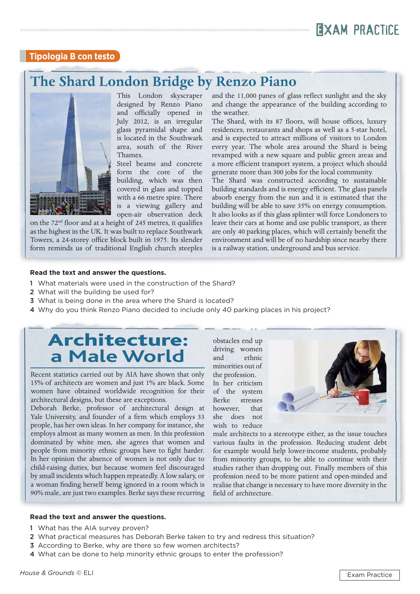

#### **Tipologia B con testo**

### **The Shard London Bridge by Renzo Piano**



This London skyscraper designed by Renzo Piano and officially opened in July 2012, is an irregular glass pyramidal shape and is located in the Southwark area, south of the River Thames.

Steel beams and concrete form the core of the building, which was then covered in glass and topped with a 66 metre spire. There is a viewing gallery and open-air observation deck

on the 72<sup>nd</sup> floor and at a height of 245 metres, it qualifies as the highest in the UK. It was built to replace Southwark Towers, a 24-storey office block built in 1975. Its slender form reminds us of traditional English church steeples

and the 11,000 panes of glass reflect sunlight and the sky and change the appearance of the building according to the weather.

,,,,,,,,,,,,,,,,,,,,,,,,,

The Shard, with its 87 floors, will house offices, luxury residences, restaurants and shops as well as a 5-star hotel, and is expected to attract millions of visitors to London every year. The whole area around the Shard is being revamped with a new square and public green areas and a more efficient transport system, a project which should generate more than 300 jobs for the local community.

The Shard was constructed according to sustainable building standards and is energy efficient. The glass panels absorb energy from the sun and it is estimated that the building will be able to save 35% on energy consumption. It also looks as if this glass splinter will force Londoners to leave their cars at home and use public transport, as there are only 40 parking places, which will certainly benefit the environment and will be of no hardship since nearby there is a railway station, underground and bus service.

#### **Read the text and answer the questions.**

- 1 What materials were used in the construction of the Shard?
- 2 What will the building be used for?
- 3 What is being done in the area where the Shard is located?
- 4 Why do you think Renzo Piano decided to include only 40 parking places in his project?

### Architecture: **a Male World**

Recent statistics carried out by AIA have shown that only 15% of architects are women and just 1% are black. Some women have obtained worldwide recognition for their architectural designs, but these are exceptions.

Deborah Berke, professor of architectural design at Yale University, and founder of a firm which employs 33 people, has her own ideas. In her company for instance, she employs almost as many women as men. In this profession dominated by white men, she agrees that women and people from minority ethnic groups have to fight harder. In her opinion the absence of women is not only due to child-raising duties, but because women feel discouraged by small incidents which happen repeatedly. A low salary, or a woman finding herself being ignored in a room which is 90% male, are just two examples. Berke says these recurring obstacles end up driving women and ethnic minorities out of the profession. In her criticism of the system Berke stresses however, that she does not wish to reduce



male architects to a stereotype either, as the issue touches various faults in the profession. Reducing student debt for example would help lower-income students, probably from minority groups, to be able to continue with their studies rather than dropping out. Finally members of this profession need to be more patient and open-minded and realise that change is necessary to have more diversity in the field of architecture.

#### **Read the text and answer the questions.**

- 1 What has the AIA survey proven?
- 2 What practical measures has Deborah Berke taken to try and redress this situation?
- 3 According to Berke, why are there so few women architects?
- 4 What can be done to help minority ethnic groups to enter the profession?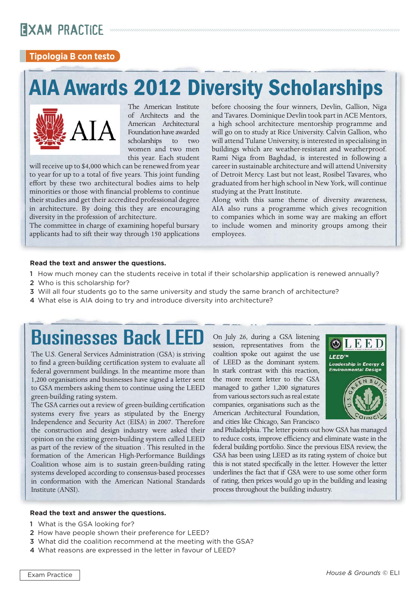# Exam practice

### **Tipologia B con testo**

# **AIA Awards 2012 Diversity Scholarships**



The American Institute of Architects and the American Architectural Foundation have awarded scholarships to two women and two men this year. Each student

will receive up to \$4,000 which can be renewed from year to year for up to a total of five years. This joint funding effort by these two architectural bodies aims to help minorities or those with financial problems to continue their studies and get their accredited professional degree in architecture. By doing this they are encouraging diversity in the profession of architecture.

The committee in charge of examining hopeful bursary applicants had to sift their way through 150 applications before choosing the four winners, Devlin, Gallion, Niga and Tavares. Dominique Devlin took part in ACE Mentors, a high school architecture mentorship programme and will go on to study at Rice University. Calvin Gallion, who will attend Tulane University, is interested in specialising in buildings which are weather-resistant and weatherproof. Rami Niga from Baghdad, is interested in following a career in sustainable architecture and will attend University of Detroit Mercy. Last but not least, Rosibel Tavares, who graduated from her high school in New York, will continue studying at the Pratt Institute.

Along with this same theme of diversity awareness, AIA also runs a programme which gives recognition to companies which in some way are making an effort to include women and minority groups among their employees.

#### **Read the text and answer the questions.**

- 1 How much money can the students receive in total if their scholarship application is renewed annually?
- 2 Who is this scholarship for?
- 3 Will all four students go to the same university and study the same branch of architecture?
- 4 What else is AIA doing to try and introduce diversity into architecture?

# Businesses Back LEED

The U.S. General Services Administration (GSA) is striving to find a green-building certification system to evaluate all federal government buildings. In the meantime more than 1,200 organisations and businesses have signed a letter sent to GSA members asking them to continue using the LEED green-building rating system.

The GSA carries out a review of green-building certification systems every five years as stipulated by the Energy Independence and Security Act (EISA) in 2007. Therefore the construction and design industry were asked their opinion on the existing green-building system called LEED as part of the review of the situation . This resulted in the formation of the American High-Performance Buildings Coalition whose aim is to sustain green-building rating systems developed according to consensus-based processes in conformation with the American National Standards Institute (ANSI).

On July 26, during a GSA listening session, representatives from the coalition spoke out against the use of LEED as the dominant system. In stark contrast with this reaction, the more recent letter to the GSA managed to gather 1,200 signatures from various sectors such as real estate companies, organisations such as the American Architectural Foundation, and cities like Chicago, San Francisco



and Philadelphia. The letter points out how GSA has managed to reduce costs, improve efficiency and eliminate waste in the federal building portfolio. Since the previous EISA review, the GSA has been using LEED as its rating system of choice but this is not stated specifically in the letter. However the letter underlines the fact that if GSA were to use some other form of rating, then prices would go up in the building and leasing process throughout the building industry.

#### **Read the text and answer the questions.**

- 1 What is the GSA looking for?
- 2 How have people shown their preference for LEED?
- 3 What did the coalition recommend at the meeting with the GSA?
- 4 What reasons are expressed in the letter in favour of LEED?